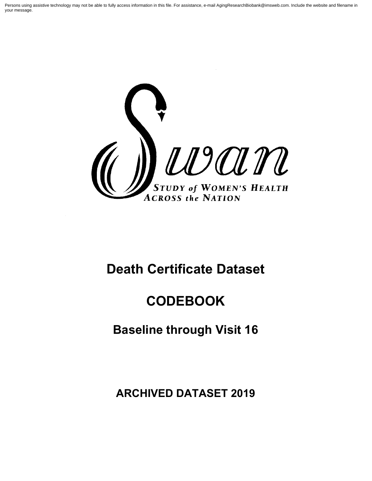Persons using assistive technology may not be able to fully access information in this file. For assistance, e-mail AgingResearchBiobank@imsweb.com. Include the website and filename in your message.



# **Death Certificate Dataset**

# **CODEBOOK**

## **Baseline through Visit 16**

**ARCHIVED DATASET 2019**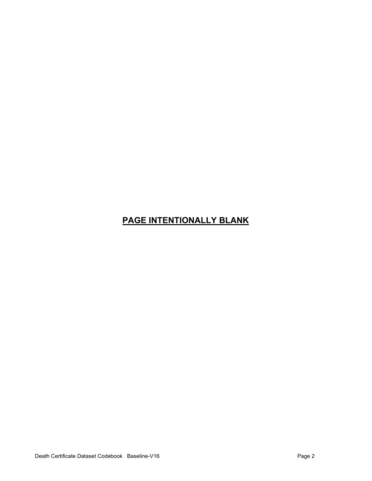## **PAGE INTENTIONALLY BLANK**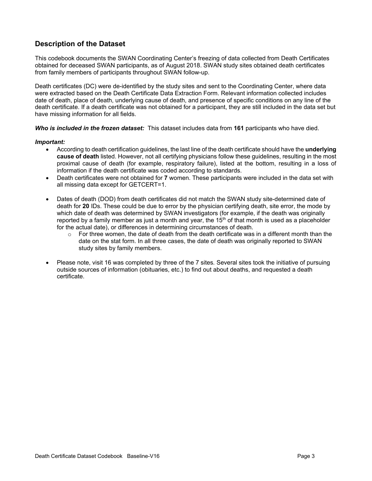#### **Description of the Dataset**

This codebook documents the SWAN Coordinating Center's freezing of data collected from Death Certificates obtained for deceased SWAN participants, as of August 2018. SWAN study sites obtained death certificates from family members of participants throughout SWAN follow-up.

Death certificates (DC) were de-identified by the study sites and sent to the Coordinating Center, where data were extracted based on the Death Certificate Data Extraction Form. Relevant information collected includes date of death, place of death, underlying cause of death, and presence of specific conditions on any line of the death certificate. If a death certificate was not obtained for a participant, they are still included in the data set but have missing information for all fields.

*Who is included in the frozen dataset:* This dataset includes data from **161** participants who have died.

#### *Important:*

- According to death certification guidelines, the last line of the death certificate should have the **underlying cause of death** listed. However, not all certifying physicians follow these guidelines, resulting in the most proximal cause of death (for example, respiratory failure), listed at the bottom, resulting in a loss of information if the death certificate was coded according to standards.
- Death certificates were not obtained for **7** women. These participants were included in the data set with all missing data except for GETCERT=1.
- Dates of death (DOD) from death certificates did not match the SWAN study site-determined date of death for **20** IDs. These could be due to error by the physician certifying death, site error, the mode by which date of death was determined by SWAN investigators (for example, if the death was originally reported by a family member as just a month and year, the  $15<sup>th</sup>$  of that month is used as a placeholder for the actual date), or differences in determining circumstances of death.
	- For three women, the date of death from the death certificate was in a different month than the date on the stat form. In all three cases, the date of death was originally reported to SWAN study sites by family members.
- Please note, visit 16 was completed by three of the 7 sites*.* Several sites took the initiative of pursuing outside sources of information (obituaries, etc.) to find out about deaths, and requested a death certificate.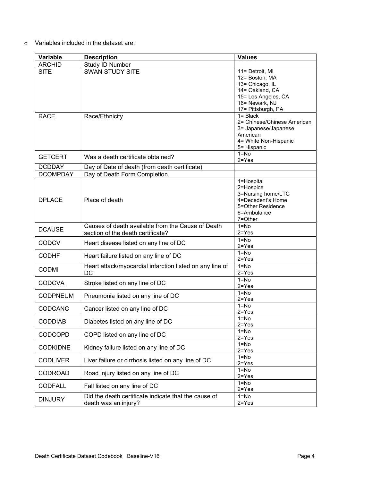o Variables included in the dataset are:

| Variable        | <b>Description</b>                                                                     | <b>Values</b>                                                                                                                          |
|-----------------|----------------------------------------------------------------------------------------|----------------------------------------------------------------------------------------------------------------------------------------|
| <b>ARCHID</b>   | Study ID Number                                                                        |                                                                                                                                        |
| <b>SITE</b>     | <b>SWAN STUDY SITE</b>                                                                 | 11= Detroit, MI<br>12= Boston, MA<br>13= Chicago, IL<br>14= Oakland, CA<br>15= Los Angeles, CA<br>16= Newark, NJ<br>17= Pittsburgh, PA |
| <b>RACE</b>     | Race/Ethnicity                                                                         | $1 = Black$<br>2= Chinese/Chinese American<br>3= Japanese/Japanese<br>American<br>4= White Non-Hispanic<br>5= Hispanic                 |
| <b>GETCERT</b>  | Was a death certificate obtained?                                                      | $1 = No$<br>$2 = Yes$                                                                                                                  |
| <b>DCDDAY</b>   | Day of Date of death (from death certificate)                                          |                                                                                                                                        |
| <b>DCOMPDAY</b> | Day of Death Form Completion                                                           |                                                                                                                                        |
| <b>DPLACE</b>   | Place of death                                                                         | 1=Hospital<br>2=Hospice<br>3=Nursing home/LTC<br>4=Decedent's Home<br>5=Other Residence<br>6=Ambulance<br>7=Other                      |
| <b>DCAUSE</b>   | Causes of death available from the Cause of Death<br>section of the death certificate? | $1 = No$<br>$2 = Yes$                                                                                                                  |
| <b>CODCV</b>    | Heart disease listed on any line of DC                                                 | $1 = No$<br>$2 = Yes$                                                                                                                  |
| <b>CODHF</b>    | Heart failure listed on any line of DC                                                 | $1 = No$<br>$2 = Yes$                                                                                                                  |
| <b>CODMI</b>    | Heart attack/myocardial infarction listed on any line of<br><b>DC</b>                  | $1 = No$<br>$2 = Yes$                                                                                                                  |
| <b>CODCVA</b>   | Stroke listed on any line of DC                                                        | $1 = No$<br>$2 = Yes$                                                                                                                  |
| <b>CODPNEUM</b> | Pneumonia listed on any line of DC                                                     | $1 = No$<br>$2 = Yes$                                                                                                                  |
| CODCANC         | Cancer listed on any line of DC                                                        | $1 = No$<br>$2 = Yes$                                                                                                                  |
| <b>CODDIAB</b>  | Diabetes listed on any line of DC                                                      | $1 = No$<br>$2 = Yes$                                                                                                                  |
| <b>CODCOPD</b>  | COPD listed on any line of DC                                                          | 1=No<br>$2 = Yes$                                                                                                                      |
| <b>CODKIDNE</b> | Kidney failure listed on any line of DC                                                | $1 = No$<br>$2 = Yes$                                                                                                                  |
| <b>CODLIVER</b> | Liver failure or cirrhosis listed on any line of DC                                    | $1 = No$<br>$2 = Yes$                                                                                                                  |
| CODROAD         | Road injury listed on any line of DC                                                   | $1 = No$<br>$2 = Yes$                                                                                                                  |
| <b>CODFALL</b>  | Fall listed on any line of DC                                                          | $1 = No$<br>$2 = Yes$                                                                                                                  |
| <b>DINJURY</b>  | Did the death certificate indicate that the cause of<br>death was an injury?           | $1 = No$<br>$2 = Yes$                                                                                                                  |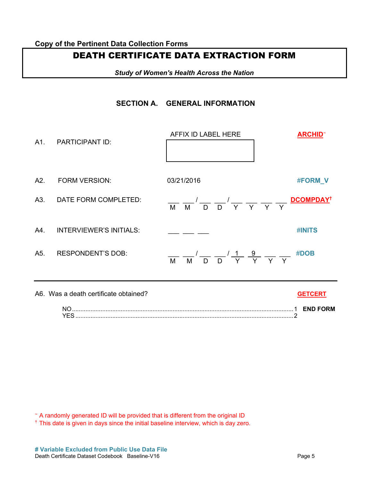### DEATH CERTIFICATE DATA EXTRACTION FORM

*Study of Women's Health Across the Nation*

#### **SECTION A. GENERAL INFORMATION**

|                                       | AFFIX ID LABEL HERE                                                                                                       | <b>ARCHID<sup>~</sup></b> |
|---------------------------------------|---------------------------------------------------------------------------------------------------------------------------|---------------------------|
| A1. PARTICIPANT ID:                   |                                                                                                                           |                           |
| A2. FORM VERSION:                     | 03/21/2016                                                                                                                | #FORM V                   |
| A3. DATE FORM COMPLETED:              | $\frac{1}{M} \frac{1}{M} \frac{1}{D} \frac{1}{D} \frac{1}{Y} \frac{1}{Y} \frac{1}{Y} \frac{1}{Y} \frac{1}{Y} \frac{1}{Y}$ |                           |
| A4. INTERVIEWER'S INITIALS:           |                                                                                                                           | #INITS                    |
| A5. RESPONDENT'S DOB:                 | $\frac{1}{M}$ $\frac{1}{M}$ $\frac{1}{D}$ $\frac{1}{D}$ $\frac{1}{Y}$ $\frac{9}{Y}$ $\frac{1}{Y}$ $\frac{9}{Y}$           | <b>#DOB</b>               |
| A6. Was a death certificate obtained? |                                                                                                                           | <b>GETCERT</b>            |
|                                       |                                                                                                                           |                           |

YES..................................................................................................................................2

<sup>~</sup> A randomly generated ID will be provided that is different from the original ID

**†** This date is given in days since the initial baseline interview, which is day zero.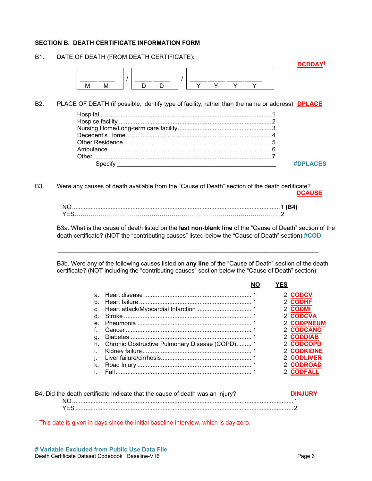#### **SECTION B. DEATH CERTIFICATE INFORMATION FORM**

#### B1. DATE OF DEATH (FROM DEATH CERTIFICATE):



B2. PLACE OF DEATH (if possible, identify type of facility, rather than the name or address) **DPLACE**

| Hospital minimum contract contract the contract of the contract of the contract of the contract of the contract of the contract of the contract of the contract of the contract of the contract of the contract of the contrac |  |
|--------------------------------------------------------------------------------------------------------------------------------------------------------------------------------------------------------------------------------|--|
|                                                                                                                                                                                                                                |  |
|                                                                                                                                                                                                                                |  |
|                                                                                                                                                                                                                                |  |
|                                                                                                                                                                                                                                |  |
|                                                                                                                                                                                                                                |  |
| <b>SDECIT</b>                                                                                                                                                                                                                  |  |

B3. Were any causes of death available from the "Cause of Death" section of the death certificate? **DEAUSE AND ACTIVITY OF A REPORT OF A REPORT OF A REPORT OF A REPORT OF A REPORT OF A REPORT OF A REPORT OF A R** 

B3a. What is the cause of death listed on the **last non-blank line** of the "Cause of Death" section of the death certificate? (NOT the "contributing causes" listed below the "Cause of Death" section) #**COD**

B3b. Were any of the following causes listed on **any line** of the "Cause of Death" section of the death certificate? (NOT including the "contributing causes" section below the "Cause of Death" section):

| a.          |                                                |  | <b>CODCV</b>    |
|-------------|------------------------------------------------|--|-----------------|
| $\mathbf b$ |                                                |  | <b>CODHF</b>    |
| C.          |                                                |  | <b>CODMI</b>    |
| d.          |                                                |  | <b>CODCVA</b>   |
| e.          |                                                |  | <b>CODPNEUM</b> |
|             |                                                |  | <b>CODCANC</b>  |
| g.          |                                                |  | <b>CODDIAB</b>  |
| h.          | Chronic Obstructive Pulmonary Disease (COPD) 1 |  | <b>CODCOPD</b>  |
|             |                                                |  | <b>CODKID</b>   |
|             |                                                |  | <b>CODLIVER</b> |
| k.          |                                                |  | <b>CODROA</b>   |
|             | Fall                                           |  |                 |
|             |                                                |  |                 |

| B4. Did the death certificate indicate that the cause of death was an injury? |  |
|-------------------------------------------------------------------------------|--|
|                                                                               |  |
|                                                                               |  |

**†** This date is given in days since the initial baseline interview, which is day zero.

**DCDDAY†**